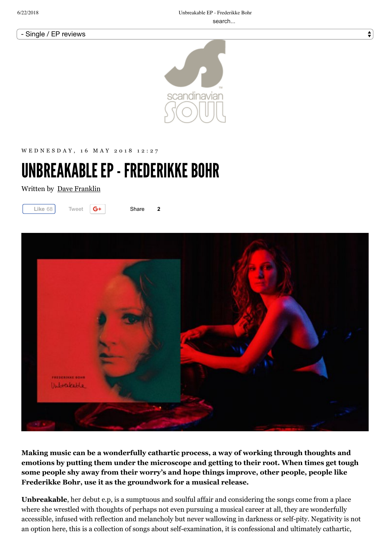#### - Single / EP reviews



WED NESDAY, 16 MAY 2018 12:27

# UNBREAKABLE EP - FREDERIKKE BOHR

Written by Dave Franklin



Share **2**



**Making music can be a wonderfully cathartic process, a way of working through thoughts and emotions by putting them under the microscope and getting to their root. When times get tough some people shy away from their worry's and hope things improve, other people, people like Frederikke Bohr, use it as the groundwork for a musical release.**

**Unbreakable**, her debut e.p, is a sumptuous and soulful affair and considering the songs come from a place where she wrestled with thoughts of perhaps not even pursuing a musical career at all, they are wonderfully accessible, infused with reflection and melancholy but never wallowing in darkness or self-pity. Negativity is not an option here, this is a collection of songs about self-examination, it is confessional and ultimately cathartic,

 $\div$